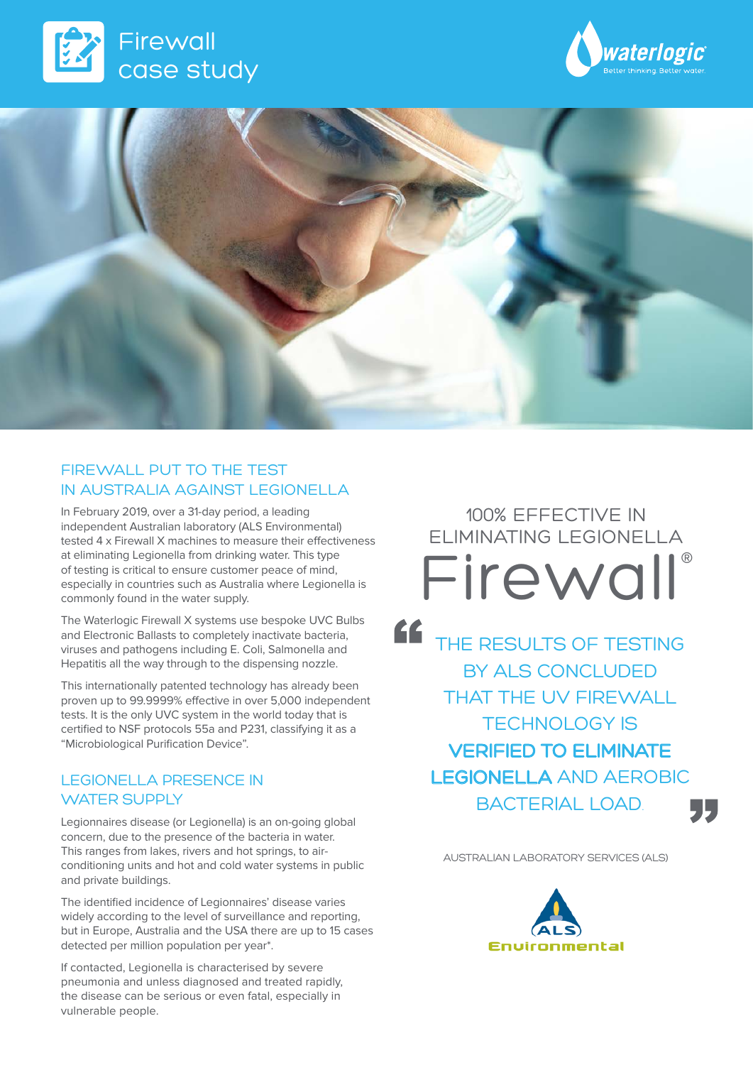





### FIREWALL PUT TO THE TEST IN AUSTRALIA AGAINST LEGIONELLA

In February 2019, over a 31-day period, a leading independent Australian laboratory (ALS Environmental) tested 4 x Firewall X machines to measure their effectiveness at eliminating Legionella from drinking water. This type of testing is critical to ensure customer peace of mind, especially in countries such as Australia where Legionella is commonly found in the water supply.

The Waterlogic Firewall X systems use bespoke UVC Bulbs and Electronic Ballasts to completely inactivate bacteria, viruses and pathogens including E. Coli, Salmonella and Hepatitis all the way through to the dispensing nozzle.

This internationally patented technology has already been proven up to 99.9999% effective in over 5,000 independent tests. It is the only UVC system in the world today that is certified to NSF protocols 55a and P231, classifying it as a "Microbiological Purification Device".

### LEGIONELLA PRESENCE IN WATER SUPPLY

Legionnaires disease (or Legionella) is an on-going global concern, due to the presence of the bacteria in water. This ranges from lakes, rivers and hot springs, to airconditioning units and hot and cold water systems in public and private buildings.

The identified incidence of Legionnaires' disease varies widely according to the level of surveillance and reporting, but in Europe, Australia and the USA there are up to 15 cases detected per million population per year\*.

If contacted, Legionella is characterised by severe pneumonia and unless diagnosed and treated rapidly, the disease can be serious or even fatal, especially in vulnerable people.

100% EFFECTIVE IN ELIMINATING LEGIONELLA Firewall®

" THE RESULTS OF TESTING BY ALS CONCLUDED THAT THE UV FIREWALL TECHNOLOGY IS VERIFIED TO ELIMINATE LEGIONELLA AND AEROBIC BACTERIAL LOAD.

AUSTRALIAN LABORATORY SERVICES (ALS)